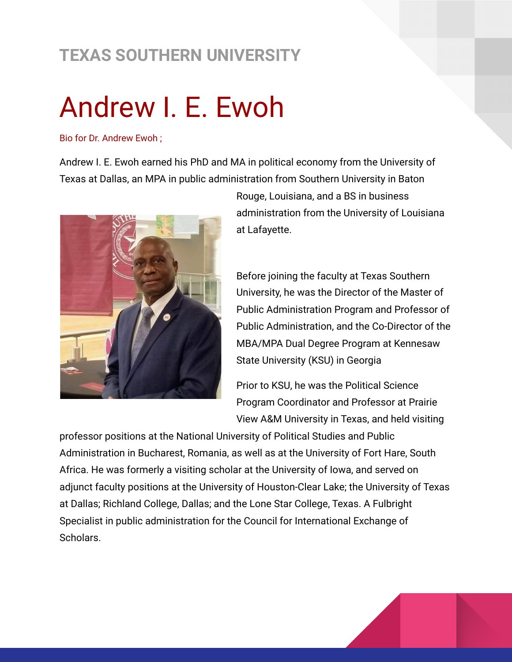## **TEXAS SOUTHERN UNIVERSITY**

## Andrew I. E. Ewoh

Bio for Dr. Andrew Ewoh ;

Andrew I. E. Ewoh earned his PhD and MA in political economy from the University of Texas at Dallas, an MPA in public administration from Southern University in Baton



Rouge, Louisiana, and a BS in business administration from the University of Louisiana at Lafayette.

Before joining the faculty at Texas Southern University, he was the Director of the Master of Public Administration Program and Professor of Public Administration, and the Co-Director of the MBA/MPA Dual Degree Program at Kennesaw State University (KSU) in Georgia

Prior to KSU, he was the Political Science Program Coordinator and Professor at Prairie View A&M University in Texas, and held visiting

professor positions at the National University of Political Studies and Public Administration in Bucharest, Romania, as well as at the University of Fort Hare, South Africa. He was formerly a visiting scholar at the University of Iowa, and served on adjunct faculty positions at the University of Houston-Clear Lake; the University of Texas at Dallas; Richland College, Dallas; and the Lone Star College, Texas. A Fulbright Specialist in public administration for the Council for International Exchange of Scholars.